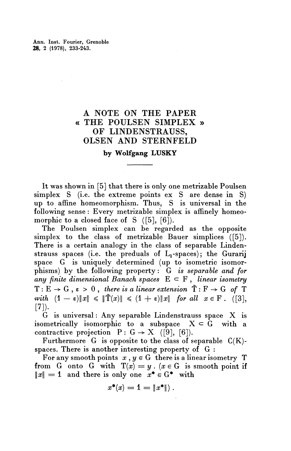Ann. Inst. Fourier, Grenoble **28,** 2 (1978), 233-243.

## A NOTE ON THE PAPER « THE POULSEN SIMPLEX » OF LINDENSTRAUSS, OLSEN AND STERNFELD

## **by Wolfgang LUSKY**

It was shown in [5] that there is only one metrizable Poulsen simplex S (i.e. the extreme points ex S are dense in S) up to affine homeomorphism. Thus, S is universal in the following sense: Every metrizable simplex is affinely homeomorphic to a closed face of S  $([5], [6])$ .

The Poulsen simplex can be regarded as the opposite simplex to the class of metrizable Bauer simplices ([5]). There is a certain analogy in the class of separable Lindenstrauss spaces (i.e. the preduals of  $L_1$ -spaces); the Gurarij space G is uniquely determined (up to isometric isomorphisms) by the following property: G *is separable and for* any finite dimensional Banach spaces  $E \subset F$ , linear isometry  $T : E \to G$ ,  $\varepsilon > 0$ , *there is a linear extension*  $\tilde{T} : F \to G$  *of* T with  $(1 - \varepsilon) \|x\| \leq \|\tilde{T}(x)\| \leq (1 + \varepsilon) \|x\|$  for all  $x \in F$ . ([3], [7]).<br>
G is universal: Any separable Lindenstrauss space X is

isometrically isomorphic to a subspace  $X \subseteq G$  with a contractive projection  $P: G \rightarrow X$  ([9], [6]).

Furthermore  $G$  is opposite to the class of separable  $C(K)$ spaces. There is another interesting property of G :

For any smooth points  $x, y \in G$  there is a linear isometry T from G onto G with  $T(x) = y$ .  $(x \in G$  is smooth point if  $\|x\| = 1$  and there is only one  $x^* \in G^*$  with

s only one 
$$
x \in G
$$
  
 $x^*(x) = 1 = ||x^*||$ .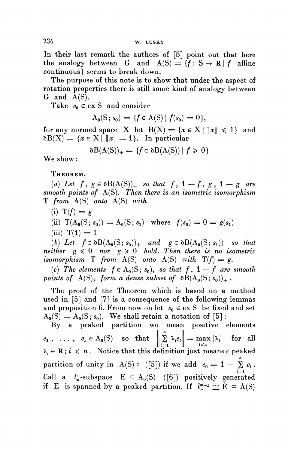In their last remark the authors of [5] point out that here the analogy between G and  $A(S) = \{f: S \rightarrow \mathbb{R} \mid f \text{ affine} \}$ continuous} seems to break down.

The purpose of this note is to show that under the aspect of rotation properties there is still some kind of analogy between  $G$  and  $A(S)$ .

Take  $s_0 \in \text{ex } S$  and consider

$$
A_0(S; s_0) = \{f \in A(S) \mid f(s_0) = 0\},\
$$

for any normed space X let  $B(X) = \{x \in X | ||x|| \leq 1\}$  and  $\delta B(X) = \{x \in X \mid ||x|| = 1\}.$  In particular

$$
\delta B(A(S))_{+} = \{ f \in \delta B(A(S)) \mid f \geq 0 \}
$$

We show:

THEOREM.

(a) Let  $f, g \in \partial B(A(S))_{+}$  so that  $f, 1 - f, g, 1 - g$  are *smooth points of* A(S). *Then there is an isometric isomorphism* T *from* A(S) *onto* A(S) *with*

- $(i) T(f) = g$
- (ii)  $T(A_0(S; s_0)) = A_0(S; s_1)$  where  $f(s_0) = 0 = g(s_1)$
- $(iii)$   $T(1) = 1$

(b) Let  $f \in \partial B(A_0(S; s_0))_+$  and  $g \in \partial B(A_0(S; s_1))$  so that *neither*  $g \le 0$  *nor*  $g \ge 0$  *hold. Then there is no isometric isomorphism*  $T$  *from*  $A(S)$  *onto*  $A(S)$  *with*  $T(f) = g$ .

(c) The elements  $f \in A_0(S; s_0)$ , so that f, 1 — f are smooth *points of* A(S), form a dense subset of  $\delta B(A_0(S; s_0))_+$ .

The proof of the Theorem which is based on a method used in [5] and [7] is a consequence of the following lemmas and proposition 6. From now on let  $s_0 \in \text{ex } S$  be fixed and set  $A_0(S) = A_0(S; s_0)$ . We shall retain a notation of [5]:

By a peaked partition we mean positive elements  $e_1, \ldots, e_n \in A_0(S)$  so that  $\left\| \sum_{i=1}^n \lambda_i e_i \right\| = \max_{i \le n} |\lambda_i|$  for all  $\lambda_i \in \mathbf{R}$ ;  $i \leq n$ . Notice that this definition just means « peaked partition of unity in A(S) » ([5]) if we add  $e_0 = 1 - \sum_{i=1}^{n} e_i$ Call a  $l_{\infty}^n$ -subspace  $E \subset A_0(S)$  ([6]) positively generated Call a  $l^u_{\infty}$ -subspace  $E \subseteq A_0(S)$  ([6]) positively generated if E is spanned by a peaked partition. If  $l^m_{\infty}$ <sup>+1</sup>  $\cong$   $\tilde{E} \subseteq A(S)$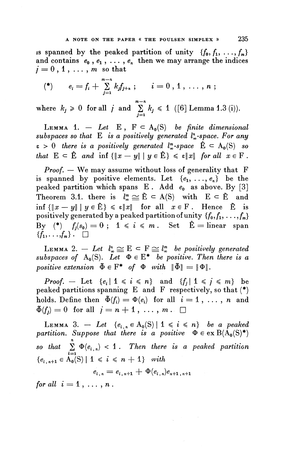is spanned by the peaked partition of unity  $\{f_0, f_1, \ldots, f_m\}$ and contains  $e_0$ ,  $e_1$ , ...,  $e_n$  then we may arrange the indices  $j = 0, 1, \ldots, m$  so that

$$
(*) \qquad e_i = f_i + \sum_{j=1}^{m-n} k_j f_{j+n} ; \qquad i = 0, 1, \ldots, n ;
$$

where  $k_j \ge 0$  for all *j* and  $\sum_{j=1}^{m-n} k_j \le 1$  ([6] Lemma 1.3 (i)).

LEMMA 1. - Let E,  $F \subset A_0(S)$  be finite dimensional *subspaces so that* E *is a positively generated l^-space. For any*  $\epsilon > 0$  there is a positively generated  $l^m_{\infty}$ -space  $\hat{E} \subset A_0(S)$  so *that*  $E \subset \hat{E}$  *and*  $\inf \{\|x - y\| \mid y \in \hat{E}\} \leq \varepsilon \|x\|$  *for all*  $x \in F$ .

*Proof. —* We may assume without loss of generality that F is spanned by positive elements. Let  $\{e_1, \ldots, e_n\}$  be the peaked partition which spans  $E$ . Add  $e_0$  as above. By [3] Theorem 3.1. there is  $l^m_{\infty} \cong \tilde{E} \subset A(S)$  with  $E \subset \tilde{E}$  and inf  ${\{\|x - y\| \mid y \in \tilde{E}\}\leq \varepsilon \|x\| \text{ for all } x \in F$ . Hence  $\tilde{E}$  is positively generated by a peaked partition of unity  $\{f_0, f_1, \ldots, f_m\}$ By  $(*)$   $f_j(s_0) = 0$ ;  $1 \le i \le m$ . Set  $\hat{E} =$  linear span  $\{f_1,\ldots,f_m\}$ .  $\Box$ 

LEMMA 2.  $-$  Let  $l^n_{\infty} \cong E \subset F \cong l^n_{\infty}$  be positively generated *subspaces of*  $A_0(S)$ . Let  $\Phi \in E^*$  be positive. Then there is a *positive extension*  $\tilde{\Phi} \in F^*$  *of*  $\Phi$  *with*  $\|\tilde{\Phi}\| = \|\Phi\|.$ 

*Proof.* — Let  $\{e_i \mid 1 \leq i \leq n\}$  and  $\{f_j \mid 1 \leq j \leq m\}$  be peaked partitions spanning E and F respectively, so that (\*) holds. Define then  $\tilde{\Phi}(f_i) = \Phi(e_i)$  for all  $i = 1, \ldots, n$  and  $\tilde{\Phi}(f_i) = 0$  for all  $j = n + 1, \ldots, m$ .

LEMMA 3. - Let  ${e_{i,n} \in A_0(S) | 1 \le i \le n}$  be a peaked *partition. Suppose that there is a positive*  $\Phi \in \text{ex } B(A_0(S)^*)$ *so that*  $\sum_{i=1}^n \Phi(e_{i,n}) < 1$ . Then there is a peaked partition  ${e_i}_{n+1} \in A_0(S) | 1 \le i \le n+1}$  with *e*

$$
e_{i,n} = e_{i,n+1} + \Phi(e_{i,n})e_{n+1,n+1}
$$

*for all*  $i = 1, ..., n$ .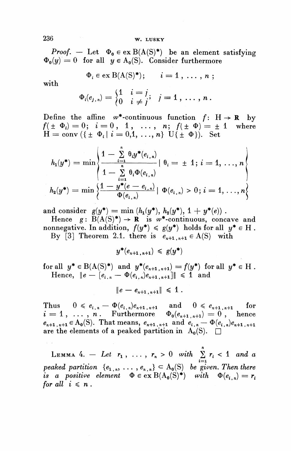*Proof.* – Let  $\Phi_0 \in \text{ex } B(A(S)^*)$  be an element satisfying  $\Phi_0(y) = 0$  for all  $y \in A_0(S)$ . Consider furthermore

$$
\Phi_i \in \text{ex } B(A(S)^*)\,;\qquad i=1,\ldots,n\,\,;
$$

with

$$
\Phi_i \in \text{ex } B(A(S)^*); \qquad i = 1, \ldots, n
$$
  

$$
\Phi_i(e_{j,n}) = \begin{cases} 1 & i = j \\ 0 & i \neq j \end{cases}; \quad j = 1, \ldots, n.
$$

Define the affine  $\omega^*$ -continuous function  $f: H \rightarrow \mathbb{R}$  by  $f(\pm \Phi_i)=0; i=0, 1, \ldots, n; f(\pm \Phi)=\pm 1$  where  $H = \text{conv}({\{\pm \Phi_i \mid i = 0,1, ..., n\}} \text{U} {\{\pm \Phi\}}).$  Set

$$
h_1(y^*) = \min \left\{ \frac{1 - \sum_{i=1}^n \theta_i y^*(e_{i,n})}{1 - \sum_{i=1}^n \theta_i \Phi(e_{i,n})} \middle| \theta_i = \pm 1; i = 1, ..., n \right\}
$$
  

$$
h_2(y^*) = \min \left\{ \frac{1 - y^*(e - e_{i,n})}{\Phi(e_{i,n})} \middle| \Phi(e_{i,n}) > 0; i = 1, ..., n \right\}
$$

and consider  $g(y^*) = \min (h_1(y^*), h_2(y^*), 1 + y^*(e))$ .

Hence  $g: B(A(S)^*) \to \mathbb{R}$  is  $\omega^*$ -continuous, concave and **nonnegative.** In addition,  $f(y^*) \leq g(y^*)$  holds for all  $y^* \in H$ . By [3] Theorem 2.1. there is  $e_{n+1,n+1} \in A(S)$  with

 $y^*(e_{n+1,n+1}) \leq g(y^*)$ 

**for all**  $y^* \in B(A(S)^*)$  and  $y^*(e_{n+1,n+1}) = f(y^*)$  for all  $y^* \in H$ .<br>
Hence,  $||e - [e_{i,n} - \Phi(e_{i,n})e_{n+1,n+1}]|| \le 1$  and

$$
\|e - e_{n+1,n+1}\| \leq 1.
$$

Thus  $0 \le e_{i,n} - \Phi(e_{i,n})e_{n+1,n+1}$  and  $0 \le e_{n+1,n+1}$  for  $i = 1, \ldots, n$ . Furthermore  $\Phi_0(e_{n+1,n+1}) = 0$ , hence  $e_{n+1,n+1} \in A_0(S)$ . That means,  $e_{n+1,n+1}$  and  $e_{i,n} - \Phi(e_{i,n})e_{n+1,n+1}$ are the elements of a peaked partition in  $A_0(S)$ .  $\Box$ 

LEMMA 4. - Let  $r_1$ , ...,  $r_n > 0$  with  $\sum_{i=1}^{n} r_i < 1$  and *c* peaked partition  ${e_{1,n}, \ldots, e_{n,n}} \subset A_0(S)$  be given. Then there *is a positive element*  $\Phi \in \text{ex } B(A_0(S)^*)$  with  $\Phi(e_{i,n}) = r_i$ *for all*  $i \leq n$ .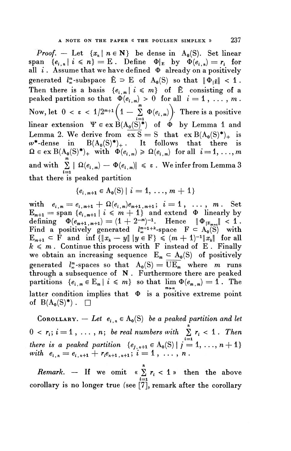*Proof.* – Let  $\{x_n \mid n \in \mathbb{N}\}\$  be dense in  $A_0(S)$ . Set linear span  ${e_{i,n}}$   $i \leq n$ } = E . Define  $\Phi|_E$  by  $\Phi(e_{i,n}) = r_i$  for all  $i$ . Assume that we have defined  $\Phi$  already on a positively generated  $l^m_{\infty}$ -subspace  $\tilde{E} \supset E$  of  $A_0(S)$  so that  $||\Phi_{|\tilde{E}}|| < 1$ . Then there is a basis  ${e_{i,m}} | i \leqslant m$  of E consisting of a peaked partition so that  $\Phi(e_{i,m}) > 0$  for all  $i = 1, ..., m$ . Now, let  $0 < \varepsilon < 1/2^{m+1} \left(1 - \sum_{i=1}^{m} \Phi(e_{i,m}) \right)$  There is a positive linear extension  $\Psi \in \text{ex } \dot{B}(A_0(S)^*)$  of  $\phi$  by Lemma 1 and **Lemma 2. We derive from**  $\overline{ex S} = S$  **that**  $ex B(A_0(S)^*)_+$  is  $w^*$ -dense in  $B(A_0(S)^*)_+$ . It follows that there is  $\Omega \in \text{ex } B(A_0(S)^*)_+$  with  $\Phi(e_{i,m}) \geq \Omega(e_{i,m})$  for all  $i=1,\ldots,m$ and with  $\sum_{i=1}^m |\Omega(e_{i,m}) - \Phi(e_{i,m})| \leq \varepsilon$ . We infer from Lemma 3 that there is peaked partition

$$
\{e_{i,m+1}\in A_0(S)\mid i=1,\ldots,m+1\}
$$

 ${e_{i,m+1} \in A_0(S) | i = 1, ..., m+1}$ <br>with  $e_{i,m} = e_{i,m+1} + \Omega(e_{i,m})e_{m+1,m+1}; i = 1, ..., m.$  Set  $e_{i,m} = e_{i,m+1} + \Omega(e_{i,m})e_{m+1,m+1}; \ \ i = 1, \ldots, \ m$ . Set  $E_{m+1} = \text{span} \{e_{i,m+1} | i \leqslant m+1\}$  and extend  $\Phi$  linearly by defining  $\Phi(e_{m+1,m+1}) = (1 + 2^{-m})^{-1}$ . Hence  $\Phi_{E_{m+1}} = \sum_{m=1}^{\infty} e_{m+1,m+1}$ Find a positively generated  $\lim_{m+1} x^m + \lim_{m+1} y^m = \lim_{m \to \infty} F$  = A<sub>0</sub>(S) with  $E_{m+1} \subset F$  and inf  $\{\|x_k - y\| \ |y \in F\} \leq (m + 1)^{-1} \|x_k\|$  for all  $E_{m+1} \subset F$  and  $\inf \{||x_k - y|| |y \in F\} \leq (m+1)^{-1}||x_k||$  for all  $k \leq m$ . Continue this process with F instead of E. Finally we obtain an increasing sequence  $E_m \nightharpoonup A_0(S)$  of positively generated  $l^m_\infty$ -spaces so that  $A_0(S) = \overline{UE}_m$  where m runs through a subsequence of N . Furthermore there are peaked partitions  $\{e_{i,m} \in \mathbb{E}_m | i \leqslant m\}$  so that  $\lim \Phi(e_{m,m}) = 1$ . The latter condition implies that  $\phi$  is a positive extreme point of  $B(A_0(S)^*)$ .

COROLLARY. — Let  $e_{i,n} \in A_0(S)$  be a peaked partition and let  $0 < r_i$ ;  $i = 1, \ldots, n$ ; be real numbers with  $\sum_{i=1}^{n} r_i < 1$ . Then *there is a peaked partition*  $\{e_{j,n+1} \in A_0(S) | j = 1, ..., n+1\}$ <br> *with*  $e_{i,n} = e_{i,n+1} + r_i e_{n+1,n+1}; i = 1, ..., n$ .

*Remark.* — If we omit «  $\sum_{i=1}^{n} r_i < 1$  » then the above corollary is no longer true (see [7], remark after the corollary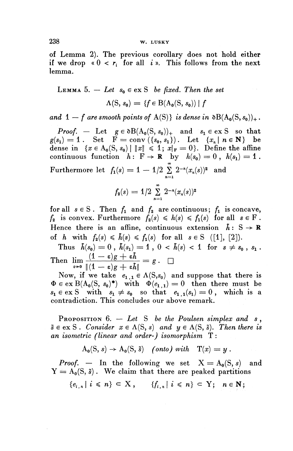## **238 W. LUSKY**

of Lemma 2). The previous corollary does not hold either if we drop  $\kappa$  0 <  $r_i$  for all *i* ». This follows from the next lemma.

LEMMA 5. — Let 
$$
s_0 \in \text{ex } S
$$
 be fixed. Then the set  

$$
\Lambda(S, s_0) = \{f \in B(A_0(S, s_0)) \mid f
$$

*and*  $1 - f$  *are smooth points of* A(S)} *is dense in*  $\delta B(A_0(S, s_0))_+$ .

*Proof.* – Let  $g \in \partial B(A_0(S, s_0))_+$  and  $s_1 \in \text{ex } S$  so that *g***<sub>(s<sub>1</sub>)</sub> = 1 • Set**  $f = \text{conv} (\{s_0, s_1\})_+$  **and**  $s_1 \in \text{ex } S$  **so that**  $g(s_1) = 1$ **. Set**  $f = \text{conv} (\{s_0, s_1\})$ **. Let**  $\{x_n \mid n \in \mathbb{N}\}$  **be**  $g(s_1) = 1$ . Set  $F = \text{conv}(\{s_0, s_1\})$ . Let  $\{x_n \mid n \in \mathbb{N}\}$  be dense in  $\{x \in A_0(S, s_0) \mid \|x\| \leq 1; x|_F = 0\}$ . Define the affine continuous function  $h: \mathbf{F} \to \mathbf{R}$  by  $h(s_0) = 0$ ,  $h(s_1) = 1$ .  $\text{Furthermore let } f_1(s) = 1 - 1/2 \sum_{n=1}^{\infty} 2^{-n} (x_n(s))^2 \text{ and }$ 

$$
f_2(s) = 1/2 \sum_{n=1}^{\infty} 2^{-n} (x_n(s))^2
$$

for all  $s \in S$ . Then  $f_1$  and  $f_2$  are continuous;  $f_1$  is concave,  $f_2$  is convex. Furthermore  $f_2(s) \leq h(s) \leq f_1(s)$  for all  $s \in F$ . Hence there is an affine, continuous extension  $\hbar$ : S  $\rightarrow$  **R** of *h* with  $f_2(s) \leq \tilde{h}(s) \leq f_1(s)$  for all  $s \in S$  ([1], [2]).

Thus  $\bar{h}(s_0) = 0$ ,  $\bar{h}(s_1) = 1$ ,  $0 < \bar{h}(s) < 1$  for  $s \neq s_0$ ,  $s_1$ . Thus  $h(s_0) = 0$ ,  $h(s_1) = 1$ ,  $0 <$ <br>Then  $\lim_{\varepsilon \to 0} \frac{(1-\varepsilon)g+\varepsilon\hbar}{\|(1-\varepsilon)g+\varepsilon\hbar\|} = g$ .

Now, if we take  $e_1, i \in \Lambda(S, s_0)$  and suppose that there is  $\Phi \in \text{ex } B(A_0(S, s_0)^*)$  with  $\Phi(e_{1,1}) = 0$  then there must be  $s_1 \in \text{ex } S$  with  $s_1 \neq s_0$  so that  $e_{1,1}(s_1) = 0$ , which is a contradiction. This concludes our above remark.

PROPOSITION 6. — *Let S be the Poulsen simplex and s* ,  $\tilde{s} \in \text{ex } S$ . Consider  $x \in \Lambda(S, s)$  and  $y \in \Lambda(S, \tilde{s})$ . Then there is *an isometric (linear and order-) isomorphism* T :

$$
A_0(S, s) \to A_0(S, \tilde{s}) \quad (onto) \ with \quad T(x) = y.
$$

*Proof.* – In the following we set  $X = A_0(S, s)$  and  $Y = A_0(S, \tilde{s})$ . We claim that there are peaked partitions

$$
\{e_{i,n} \mid i \leq n\} \subset X, \quad \{f_{i,n} \mid i \leq n\} \subset Y; \quad n \in \mathbb{N};
$$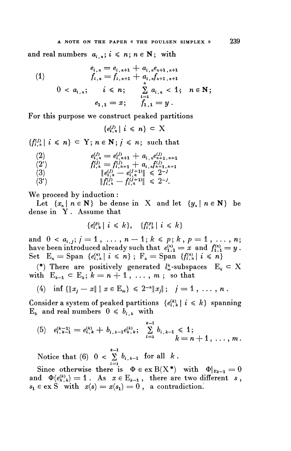(1) 
$$
e_{i,n} = e_{i,n+1} + a_{i,n}e_{n+1,n+1}
$$

$$
f_{i,n} = f_{i,n+1} + a_{i,n}f_{n+1,n+1}
$$

$$
0 < a_{i,n}; \quad i \leq n; \quad \sum_{i=1}^{n} a_{i,n} < 1; \quad n \in \mathbb{N};
$$

$$
e_{1,1} = x; \quad f_{1,1} = y.
$$

For this purpose we construct peaked partitions

$$
\{e_{i,n}^{(j)}\mid i\leq n\} \subset X
$$

 ${f^{(j)}_{i,n} | i \leq n} \subset Y; n \in \mathbb{N}; j \leq n; \text{ such that}$ 

(2)  
\n
$$
e_{i,n}^{(j)} = e_{i,n+1}^{(j)} + a_{i,n}e_{n+1,n+1}^{(j)}
$$
\n
$$
f_{i,n}^{(j)} = f_{i,n+1}^{(j)} + a_{i,n}f_{n+1,n+1}^{(j)}
$$
\n
$$
||e_{i,n}^{(j)} - e_{i,n}^{(j+1)}|| \leq 2^{-j}
$$
\n(3')  
\n
$$
||f_{i,n}^{(j)} - f_{i,n}^{(j+1)}|| \leq 2^{-j}.
$$

We proceed by induction :

Let  $\{x_n \mid n \in \mathbb{N}\}$  be dense in X and let  $\{y_n \mid n \in \mathbb{N}\}$  be dense in Y . Assume that

$$
\{e_{i,k}^{(p)} \mid i \leq k\}, \quad \{f_{i,k}^{(p)} \mid i \leq k\}
$$

and  $0 < a_{i,j}$ ;  $j = 1, \ldots, n - 1$ ;  $k \leq p$ ;  $k, p = 1, \ldots, n$ ; have been introduced already such that  $e^{\scriptscriptstyle(n)}_{1,1} = x$  and  $f^{\scriptscriptstyle(n)}_{1,1} = y$ . share been introduced already such that  $e_{1,1}^{(n)} = x$  and  $f_{1,1}^{(n)}$ <br>Set  $E_n = \text{Span } \{e_{i,n}^{(n)} | i \leq n\}$ ;  $F_n = \text{Span } \{f_{i,n}^{(n)} | i \leq n\}$ 

(\*) There are positively generated  $l_{\infty}^{k}$ -subspaces  $E_{k} \subset X$ with  $E_{k-1} \subset E_k$ ;  $k = n + 1$ , ..., m; so that

(4) inf 
$$
\{\|x_j - x\| \mid x \in \mathbb{E}_m\} \leq 2^{-n} \|x_j\|
$$
;  $j = 1, \ldots, n$ .

Consider a system of peaked partitions  ${e_{i,k}^{(k)}} | i \leq k$  spanning  $E_k$  and real numbers  $0 \leq b_{i,k}$  with

(5) 
$$
e_{i,k-1}^{(k-1)} = e_{i,k}^{(k)} + b_{i,k-1} e_{k,k}^{(k)}
$$
;  $\sum_{i=1}^{k-1} b_{i,k-1} \leq 1$ ;   
  $k = n+1, \ldots, m$ .

Notice that (6)  $0 < \sum_{i=1}^{k-1} b_{i,k-1}$  for all  $k$ .

Since otherwise there is  $\Phi \in \text{ex } B(X^*)$  with  $\Phi|_{E_{k-1}} = 0$ and  $\Phi(e^{(k)}_{k,k}) = 1$ . As  $x \in E_{k-1}$ , there are two different *s*,  $s_1 \in \text{ex } S$  with  $x(s) = x(s_1) = 0$ , a contradiction.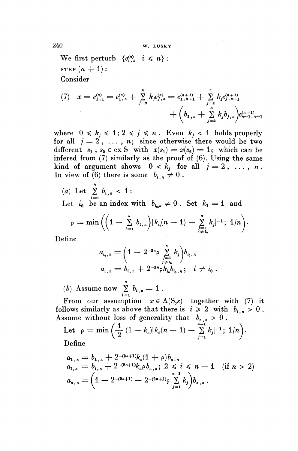We first perturb  $\{e^{(n)}_{i,n}\}\ i \leq n\}$ : **STEP**  $(n + 1)$ : Consider

(7) 
$$
x = e_{1,1}^{(n)} = e_{1,n}^{(n)} + \sum_{j=2}^{n} k_j e_{j,n}^{(n)} = e_{1,n+1}^{(n+1)} + \sum_{j=2}^{n} k_j e_{j,n+1}^{(n+1)} + \left(b_{1,n} + \sum_{j=2}^{n} k_j b_{j,n}\right) e_{n+1,n+1}^{(n+1)}
$$

where  $0 \leq k_j \leq 1$ ;  $2 \leq j \leq n$ . Even  $k_j < 1$  holds properly for all  $j = 2, \ldots, n$ ; since otherwise there would be two different  $s_1$ ,  $s_2 \in \text{ex } S$  with  $x(s_1) = x(s_2) = 1$ ; which can be infered from (7) similarly as the proof of (6). Using the same kind of argument shows  $0 < k_j$  for all  $j = 2, \ldots, n$ . In view of (6) there is some  $b_{i,n} \neq 0$ .

(a) Let  $\sum_{i=1}^n b_{i,n} < 1$ :

Let  $i_0$  be an index with  $b_{i_0} \neq 0$ . Set  $k_1 = 1$  and

$$
\rho = \min \left( \left( 1 - \sum_{i=1}^{n} b_{i,n} \right) |k_{i_0}(n-1) - \sum_{j=1}^{n} k_j|^{-1}; 1/n \right).
$$

Define

$$
a_{i_0,n} = \left(1 - 2^{-2n}\rho \sum_{\substack{j=1 \ j \neq i_0}}^n k_j\right) b_{i_0,n}
$$
  

$$
a_{i,n} = b_{i,n} + 2^{-2n}\rho k_{i_0} b_{i_0,n}; \quad i \neq i_0.
$$

(b) Assume now  $\sum_{i=1}^n b_{i,n} = 1$ .

From our assumption  $x \in \Lambda(S,s)$  together with (7) it follows similarly as above that there is  $i \geq 2$  with  $b_{i,n} > 0$ . Assume without loss of generality that  $b_n > 0$ .

Example without loss of generality that  $b_{n,n} > 0$ .<br>
Let  $\rho = \min \left( \frac{1}{2} (1 - k_n) |k_n(n-1) - \sum_{j=1}^{n-1} k_j|^{-1}; 1/n \right)$ . Define

Denne  
\n
$$
a_{1,n} = b_{1,n} + 2^{-(2n+1)}k_n(1+\rho)b_{n,n}
$$
\n
$$
a_{i,n} = b_{i,n} + 2^{-(2n+1)}k_n\rho b_{n,n}; 2 \le i \le n-1 \quad (if \ n > 2)
$$
\n
$$
a_{n,n} = \left(1 - 2^{-(2n+1)} - 2^{-(2n+1)}\rho \sum_{j=1}^{n-1} k_j\right) b_{n,n}.
$$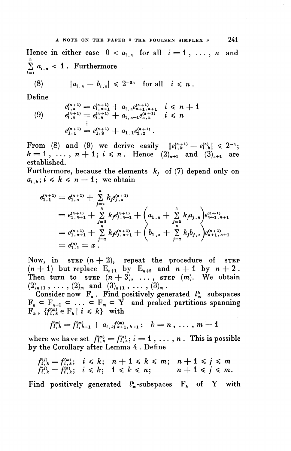Hence in either case  $0 < a_{i,n}$  for all  $i = 1, \ldots, n$  and  $\sum_{i=1}^n a_{i,n} < 1$ . Furthermore

$$
(8) \qquad |a_{i,n}-b_{i,n}| \leq 2^{-2n} \quad \text{for all} \quad i \leq n.
$$

Define

(8) 
$$
|a_{i,n} - b_{i,n}| \leq 2^{-2n}
$$
 for all  $i \leq n$ .  
\n
$$
e_{i,n}^{(n+1)} = e_{i,n+1}^{(n+1)} + a_{i,n}e_{n+1,n+1}^{(n+1)} \quad i \leq n+1
$$
\n(9) 
$$
e_{i,n}^{(n+1)} = e_{i,n}^{(n+1)} + a_{i,n-1}e_{n,n}^{(n+1)} \quad i \leq n
$$
\n
$$
\vdots
$$
\n
$$
e_{i,1}^{(n+1)} = e_{i,2}^{(n+1)} + a_{i,1}e_{i,2}^{(n+1)}.
$$

From (8) and (9) we derive easily  $||e_{i,k}^{(n+1)} - e_{i,k}^{(n)}|| \leq 2^{-n};$  $k=1, \ldots, n+1; i\leq n$ . Hence  $(2)_{n+1}$  and  $(3)_{n+1}$  are established.

Furthermore, because the elements  $k_j$  of (7) depend only on  $a_{i,k}$ ;  $i \le k \le n - 1$ ; we obtain

$$
e_{1,1}^{(n+1)} = e_{1,n+1}^{(n+1)} + \sum_{j=2}^{n} k_j e_{j,n+1}^{(n+1)}
$$
  
\n
$$
= e_{1,n+1}^{(n+1)} + \sum_{j=2}^{n} k_j e_{j,n+1}^{(n+1)}
$$
  
\n
$$
= e_{1,n+1}^{(n+1)} + \sum_{j=2}^{n} k_j e_{j,n+1}^{(n+1)} + \left(a_{1,n} + \sum_{j=2}^{n} k_j a_{j,n}\right) e_{n+1,n+1}^{(n+1)}
$$
  
\n
$$
= e_{1,n+1}^{(n+1)} + \sum_{j=2}^{n} k_j e_{j,n+1}^{(n+1)} + \left(b_{1,n} + \sum_{j=2}^{n} k_j b_{j,n}\right) e_{n+1,n+1}^{(n+1)}
$$
  
\n
$$
= e_{1,1}^{(n)} = x.
$$

Now, in  $s_{\text{TEP}} (n + 2)$ , repeat the procedure of  $s_{\text{TEP}}$ (n + 1) but replace  $E_{n+1}$  by  $E_{n+2}$  and  $n + 1$  by  $n + 2$ . Then turn to  $\text{STEP}$   $(n+3)$ , ...,  $\text{STEP}$   $(m)$ . We obtain  $(2)_{n+1}, \ldots, (2)_m$  and  $(3)_{n+1}, \ldots, (3)_m$ .

Consider now  $F_n$ . Find positively generated  $l^k$  subspaces Consider now  $\Gamma_n$ . Find positively generated  $\iota_{\infty}$  subspaces  $F_n \subseteq F_{n+1} \subseteq \ldots \subseteq F_m \subseteq Y$  and peaked partitions spanning  $F_k$ ,  $\{f_{i,k}^{(m)} \in F_k \mid i \leq k\}$  with

$$
f_{i,k}^{(m)} = f_{i,k+1}^{(m)} + a_{i,k} f_{k+1,k+1}^{(m)}; \quad k = n, \ldots, m-1
$$

where we have set  $f^{(m)}_{i, n} = f^{(n)}_{i, n}; i = 1, \ldots, n$ . This is possible by the Corollary after Lemma 4 . Define

$$
f_{i,k}^{(j)} = f_{i,k}^{(m)}; \quad i \leq k; \quad n+1 \leq k \leq m; \quad n+1 \leq j \leq m
$$
  

$$
f_{i,k}^{(j)} = f_{i,k}^{(n)}; \quad i \leq k; \quad 1 \leq k \leq n; \qquad n+1 \leq j \leq m.
$$

Find positively generated  $l_{\infty}^{k}$ -subspaces  $F_{k}$  of Y with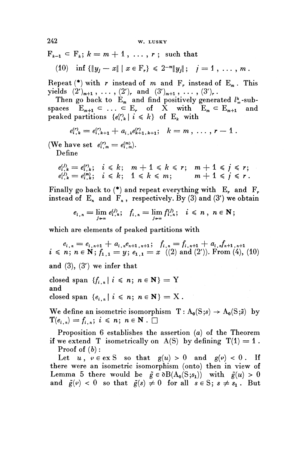$F_{k-1} \subset F_k; k = m + 1, \ldots, r; \text{ such that}$ 

(10) inf 
$$
\{\|y_j - x\| \mid x \in F_r\} \leq 2^{-m} \|y_j\|;
$$
  $j = 1, ..., m$ .

Repeat  $(*)$  with r instead of m and F<sub>r</sub> instead of E<sub>m</sub>. This yields  $(2')_{m+1}$ , ...,  $(2')_r$  and  $(3')_{m+1}$ , ...,  $(3')_r$ .

Then go back to  $E_m$  and find positively generated  $l^k_m$ -subspaces  $E_{m+1} \subset \ldots \subset E_r$  of X with  $E_m \subset E_{m+1}$  and peaked partitions  $\{e^{(r)}_i \mid i \leq k\}$  of E<sub>k</sub> with

$$
e_{i,k}^{(r)} = e_{i,k+1}^{(r)} + a_{i,k}e_{k+1,k+1}^{(r)}; \quad k = m, \ldots, r-1.
$$

(We have set  $e_{i,m}^{(r)} = e_{i,m}^{(m)}$ ).

**Define**

$$
\begin{array}{ll}\n\text{e have set } e_{i,m}^{(r)} = e_{i,m}^{(m)}.\n\end{array}
$$
\n
$$
\begin{array}{ll}\n\text{Define} \\
e_{i,k}^{(j)} = e_{i,k}^{(r)}; \quad i \leq k; \quad m+1 \leq k \leq r; \quad m+1 \leq j \leq r; \\
e_{i,k}^{(j)} = e_{i,k}^{(m)}; \quad i \leq k; \quad 1 \leq k \leq m; \quad m+1 \leq j \leq r.\n\end{array}
$$

Finally go back to  $(*)$  and repeat everything with E<sub>r</sub> and F<sub>r</sub>. instead of  $E_n$  and  $F_n$ , respectively. By (3) and (3') we obtain

$$
e_{i,n}=\lim_{j\to\infty}e_{i,n}^{(j)};\ \ f_{i,n}=\lim_{j\to\infty}f_{i,n}^{(j)};\ \ i\leq n\ ,\ n\in\mathbb{N};
$$

which are elements of peaked partitions with

 $e_{i,n} = e_{i,n+1} + a_{i,n}e_{n+1,n+1};$   $f_{i,n} = f_{i,n+1} + a_{i,n}f_{n+1,n+1}$  $i \le n; n \in \mathbb{N}$ ;  $f_{1,1} = y; e_{1,1} = x$  ((2) and (2')). From (4), (10)

**and** (3), (3') **we infer that**

closed span  $\{f_{i,n} | i \leq n; n \in \mathbb{N}\} = Y$ and closed span  $\{e_{i,n} \mid i \leq n; n \in \mathbb{N}\} = X$ .

We define an isometric isomorphism  $T : A_0(S;s) \to A_0(S;\tilde{s})$  by  $\mathbf{T}(e_{i,n})=f_{i,n}; i \leq n; n \in \mathbf{N}$  .  $\square$ 

Proposition 6 establishes the assertion (a) of the Theorem if we extend T isometrically on  $A(S)$  by defining  $T(1) = 1$ . **Proof** of  $(b)$ :

Let  $u, \, v \in \text{ex } S$  so that  $g(u) > 0$  and  $g(v) < 0$ . If there were an isometric isomorphism (onto) then in view of Lemma 5 there would be  $\tilde{g} \in \partial B(A_0(S; s_1))$  with  $\tilde{g}(u) > 0$ and  $\tilde{g}(\varphi) < 0$  so that  $\tilde{g}(s) \neq 0$  for all  $s \in S$ ;  $s \neq s<sub>1</sub>$ . But